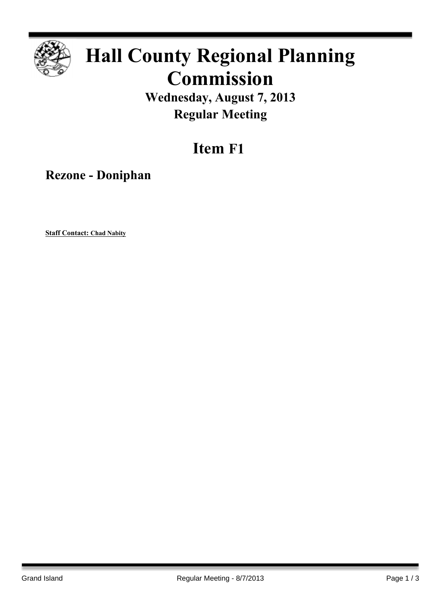

## **Hall County Regional Planning Commission**

**Wednesday, August 7, 2013 Regular Meeting**

## **Item F1**

**Rezone - Doniphan**

**Staff Contact: Chad Nabity**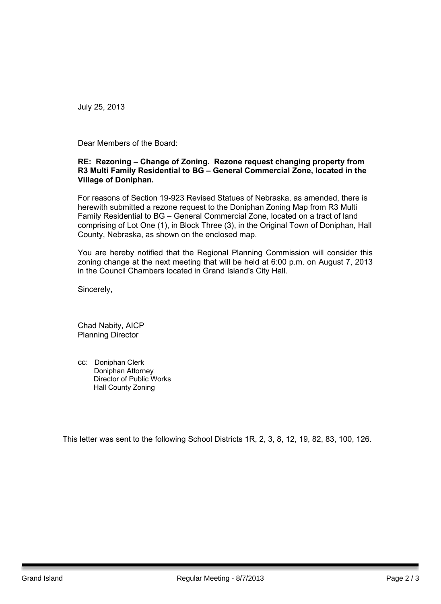July 25, 2013

Dear Members of the Board:

## **RE: Rezoning – Change of Zoning. Rezone request changing property from R3 Multi Family Residential to BG – General Commercial Zone, located in the Village of Doniphan.**

For reasons of Section 19-923 Revised Statues of Nebraska, as amended, there is herewith submitted a rezone request to the Doniphan Zoning Map from R3 Multi Family Residential to BG – General Commercial Zone, located on a tract of land comprising of Lot One (1), in Block Three (3), in the Original Town of Doniphan, Hall County, Nebraska, as shown on the enclosed map.

You are hereby notified that the Regional Planning Commission will consider this zoning change at the next meeting that will be held at 6:00 p.m. on August 7, 2013 in the Council Chambers located in Grand Island's City Hall.

Sincerely,

Chad Nabity, AICP Planning Director

cc: Doniphan Clerk Doniphan Attorney Director of Public Works Hall County Zoning

This letter was sent to the following School Districts 1R, 2, 3, 8, 12, 19, 82, 83, 100, 126.